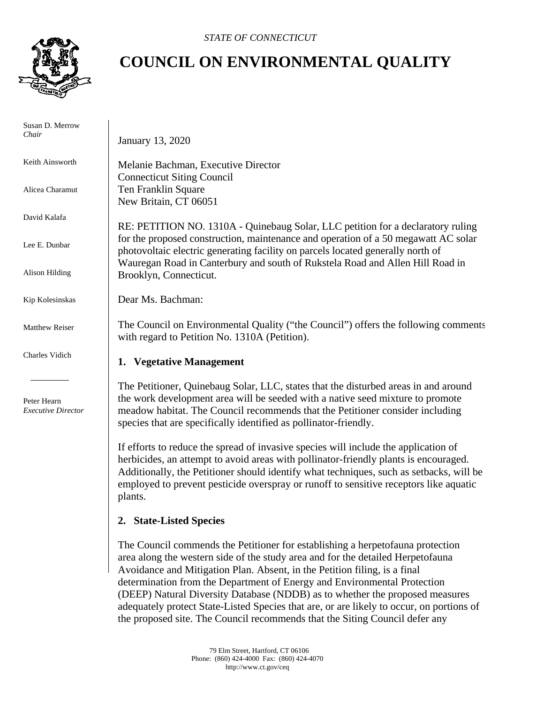

 Susan D. Merrow *Chair*

Keith Ainsworth

Alicea Charamut

David Kalafa

Lee E. Dunbar

Alison Hilding

Kip Kolesinskas

Matthew Reiser

Charles Vidich

 Peter Hearn *Executive Director*

# **COUNCIL ON ENVIRONMENTAL QUALITY**

January 13, 2020

Melanie Bachman, Executive Director Connecticut Siting Council Ten Franklin Square New Britain, CT 06051

RE: PETITION NO. 1310A - Quinebaug Solar, LLC petition for a declaratory ruling for the proposed construction, maintenance and operation of a 50 megawatt AC solar photovoltaic electric generating facility on parcels located generally north of Wauregan Road in Canterbury and south of Rukstela Road and Allen Hill Road in Brooklyn, Connecticut.

Dear Ms. Bachman:

The Council on Environmental Quality ("the Council") offers the following comments with regard to Petition No. 1310A (Petition).

## **1. Vegetative Management**

The Petitioner, Quinebaug Solar, LLC, states that the disturbed areas in and around the work development area will be seeded with a native seed mixture to promote meadow habitat. The Council recommends that the Petitioner consider including species that are specifically identified as pollinator-friendly.

If efforts to reduce the spread of invasive species will include the application of herbicides, an attempt to avoid areas with pollinator-friendly plants is encouraged. Additionally, the Petitioner should identify what techniques, such as setbacks, will be employed to prevent pesticide overspray or runoff to sensitive receptors like aquatic plants.

## **2. State-Listed Species**

The Council commends the Petitioner for establishing a herpetofauna protection area along the western side of the study area and for the detailed Herpetofauna Avoidance and Mitigation Plan. Absent, in the Petition filing, is a final determination from the Department of Energy and Environmental Protection (DEEP) Natural Diversity Database (NDDB) as to whether the proposed measures adequately protect State-Listed Species that are, or are likely to occur, on portions of the proposed site. The Council recommends that the Siting Council defer any